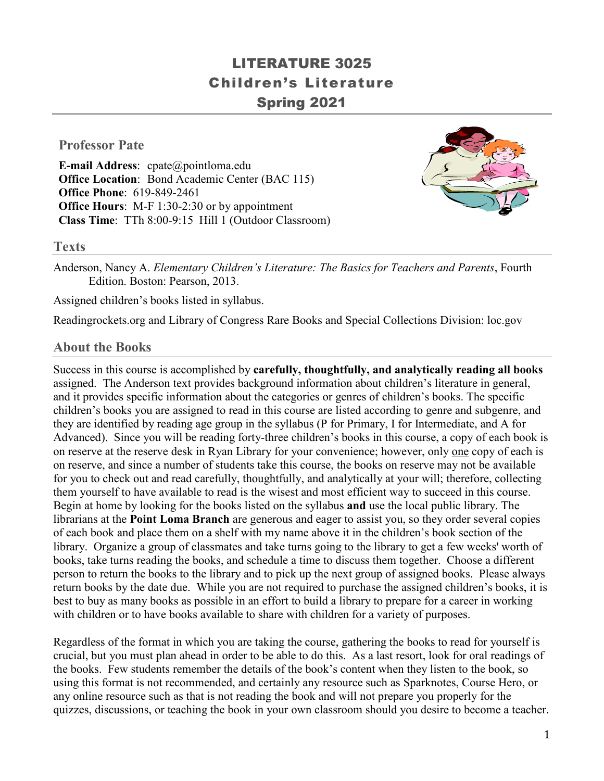# LITERATURE 3025 Children's Literature Spring 2021

### **Professor Pate**

**E-mail Address**: cpate@pointloma.edu **Office Location:** Bond Academic Center (BAC 115) **Office Phone**: 619-849-2461 **Office Hours**: M-F 1:30-2:30 or by appointment **Class Time**: TTh 8:00-9:15 Hill 1 (Outdoor Classroom)



#### **Texts**

Anderson, Nancy A. *Elementary Children's Literature: The Basics for Teachers and Parents*, Fourth Edition. Boston: Pearson, 2013.

Assigned children's books listed in syllabus.

Readingrockets.org and Library of Congress Rare Books and Special Collections Division: loc.gov

### **About the Books**

Success in this course is accomplished by **carefully, thoughtfully, and analytically reading all books**  assigned. The Anderson text provides background information about children's literature in general, and it provides specific information about the categories or genres of children's books. The specific children's books you are assigned to read in this course are listed according to genre and subgenre, and they are identified by reading age group in the syllabus (P for Primary, I for Intermediate, and A for Advanced). Since you will be reading forty-three children's books in this course, a copy of each book is on reserve at the reserve desk in Ryan Library for your convenience; however, only one copy of each is on reserve, and since a number of students take this course, the books on reserve may not be available for you to check out and read carefully, thoughtfully, and analytically at your will; therefore, collecting them yourself to have available to read is the wisest and most efficient way to succeed in this course. Begin at home by looking for the books listed on the syllabus **and** use the local public library. The librarians at the **Point Loma Branch** are generous and eager to assist you, so they order several copies of each book and place them on a shelf with my name above it in the children's book section of the library. Organize a group of classmates and take turns going to the library to get a few weeks' worth of books, take turns reading the books, and schedule a time to discuss them together. Choose a different person to return the books to the library and to pick up the next group of assigned books. Please always return books by the date due. While you are not required to purchase the assigned children's books, it is best to buy as many books as possible in an effort to build a library to prepare for a career in working with children or to have books available to share with children for a variety of purposes.

Regardless of the format in which you are taking the course, gathering the books to read for yourself is crucial, but you must plan ahead in order to be able to do this. As a last resort, look for oral readings of the books. Few students remember the details of the book's content when they listen to the book, so using this format is not recommended, and certainly any resource such as Sparknotes, Course Hero, or any online resource such as that is not reading the book and will not prepare you properly for the quizzes, discussions, or teaching the book in your own classroom should you desire to become a teacher.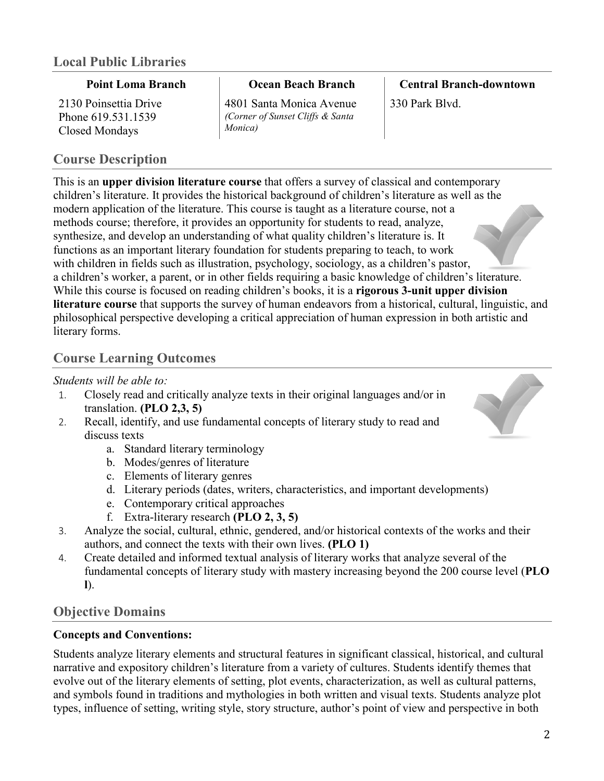### **Point Loma Branch**

2130 Poinsettia Drive Phone 619.531.1539 Closed Mondays

## **Course Description**

**Ocean Beach Branch**

4801 Santa Monica Avenue *(Corner of Sunset Cliffs & Santa Monica)*

**Central Branch-downtown** 330 Park Blvd.

This is an **upper division literature course** that offers a survey of classical and contemporary children's literature. It provides the historical background of children's literature as well as the modern application of the literature. This course is taught as a literature course, not a methods course; therefore, it provides an opportunity for students to read, analyze, synthesize, and develop an understanding of what quality children's literature is. It functions as an important literary foundation for students preparing to teach, to work with children in fields such as illustration, psychology, sociology, as a children's pastor, a children's worker, a parent, or in other fields requiring a basic knowledge of children's literature. While this course is focused on reading children's books, it is a **rigorous 3-unit upper division literature course** that supports the survey of human endeavors from a historical, cultural, linguistic, and philosophical perspective developing a critical appreciation of human expression in both artistic and literary forms.

## **Course Learning Outcomes**

### *Students will be able to:*

- 1. Closely read and critically analyze texts in their original languages and/or in translation. **(PLO 2,3, 5)**
- 2. Recall, identify, and use fundamental concepts of literary study to read and discuss texts
	- a. Standard literary terminology
	- b. Modes/genres of literature
	- c. Elements of literary genres
	- d. Literary periods (dates, writers, characteristics, and important developments)
	- e. Contemporary critical approaches
	- f. Extra-literary research **(PLO 2, 3, 5)**
- 3. Analyze the social, cultural, ethnic, gendered, and/or historical contexts of the works and their authors, and connect the texts with their own lives. **(PLO 1)**
- 4. Create detailed and informed textual analysis of literary works that analyze several of the fundamental concepts of literary study with mastery increasing beyond the 200 course level (**PLO l**).

## **Objective Domains**

### **Concepts and Conventions:**

Students analyze literary elements and structural features in significant classical, historical, and cultural narrative and expository children's literature from a variety of cultures. Students identify themes that evolve out of the literary elements of setting, plot events, characterization, as well as cultural patterns, and symbols found in traditions and mythologies in both written and visual texts. Students analyze plot types, influence of setting, writing style, story structure, author's point of view and perspective in both

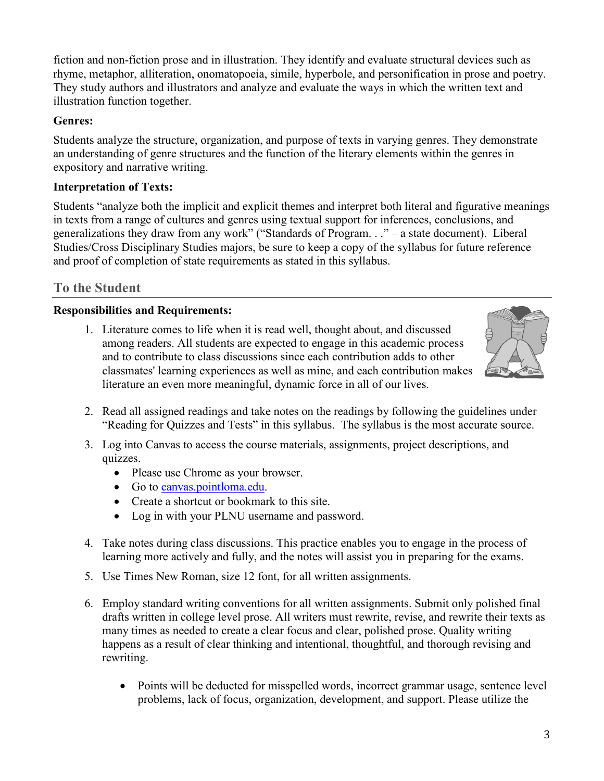fiction and non-fiction prose and in illustration. They identify and evaluate structural devices such as rhyme, metaphor, alliteration, onomatopoeia, simile, hyperbole, and personification in prose and poetry. They study authors and illustrators and analyze and evaluate the ways in which the written text and illustration function together.

### **Genres:**

Students analyze the structure, organization, and purpose of texts in varying genres. They demonstrate an understanding of genre structures and the function of the literary elements within the genres in expository and narrative writing.

### **Interpretation of Texts:**

Students "analyze both the implicit and explicit themes and interpret both literal and figurative meanings in texts from a range of cultures and genres using textual support for inferences, conclusions, and generalizations they draw from any work" ("Standards of Program. . ." – a state document). Liberal Studies/Cross Disciplinary Studies majors, be sure to keep a copy of the syllabus for future reference and proof of completion of state requirements as stated in this syllabus.

## **To the Student**

### **Responsibilities and Requirements:**

1. Literature comes to life when it is read well, thought about, and discussed among readers. All students are expected to engage in this academic process and to contribute to class discussions since each contribution adds to other classmates' learning experiences as well as mine, and each contribution makes literature an even more meaningful, dynamic force in all of our lives.



- 2. Read all assigned readings and take notes on the readings by following the guidelines under "Reading for Quizzes and Tests" in this syllabus. The syllabus is the most accurate source.
- 3. Log into Canvas to access the course materials, assignments, project descriptions, and quizzes.
	- Please use Chrome as your browser.
	- Go to [canvas.pointloma.edu.](http://canvas.pointloma.edu/)
	- Create a shortcut or bookmark to this site.
	- Log in with your PLNU username and password.
- 4. Take notes during class discussions. This practice enables you to engage in the process of learning more actively and fully, and the notes will assist you in preparing for the exams.
- 5. Use Times New Roman, size 12 font, for all written assignments.
- 6. Employ standard writing conventions for all written assignments. Submit only polished final drafts written in college level prose. All writers must rewrite, revise, and rewrite their texts as many times as needed to create a clear focus and clear, polished prose. Quality writing happens as a result of clear thinking and intentional, thoughtful, and thorough revising and rewriting.
	- Points will be deducted for misspelled words, incorrect grammar usage, sentence level problems, lack of focus, organization, development, and support. Please utilize the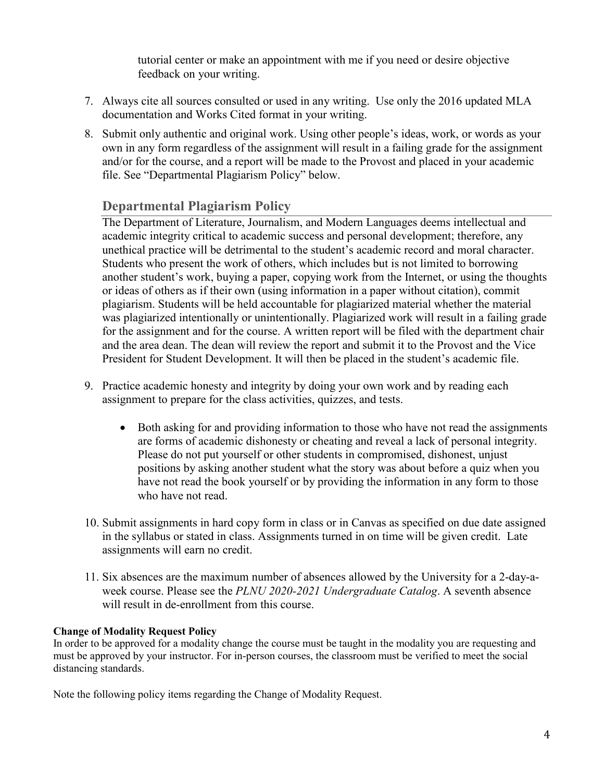tutorial center or make an appointment with me if you need or desire objective feedback on your writing.

- 7. Always cite all sources consulted or used in any writing. Use only the 2016 updated MLA documentation and Works Cited format in your writing.
- 8. Submit only authentic and original work. Using other people's ideas, work, or words as your own in any form regardless of the assignment will result in a failing grade for the assignment and/or for the course, and a report will be made to the Provost and placed in your academic file. See "Departmental Plagiarism Policy" below.

## **Departmental Plagiarism Policy**

The Department of Literature, Journalism, and Modern Languages deems intellectual and academic integrity critical to academic success and personal development; therefore, any unethical practice will be detrimental to the student's academic record and moral character. Students who present the work of others, which includes but is not limited to borrowing another student's work, buying a paper, copying work from the Internet, or using the thoughts or ideas of others as if their own (using information in a paper without citation), commit plagiarism. Students will be held accountable for plagiarized material whether the material was plagiarized intentionally or unintentionally. Plagiarized work will result in a failing grade for the assignment and for the course. A written report will be filed with the department chair and the area dean. The dean will review the report and submit it to the Provost and the Vice President for Student Development. It will then be placed in the student's academic file.

- 9. Practice academic honesty and integrity by doing your own work and by reading each assignment to prepare for the class activities, quizzes, and tests.
	- Both asking for and providing information to those who have not read the assignments are forms of academic dishonesty or cheating and reveal a lack of personal integrity. Please do not put yourself or other students in compromised, dishonest, unjust positions by asking another student what the story was about before a quiz when you have not read the book yourself or by providing the information in any form to those who have not read.
- 10. Submit assignments in hard copy form in class or in Canvas as specified on due date assigned in the syllabus or stated in class. Assignments turned in on time will be given credit. Late assignments will earn no credit.
- 11. Six absences are the maximum number of absences allowed by the University for a 2-day-aweek course. Please see the *PLNU 2020-2021 Undergraduate Catalog*. A seventh absence will result in de-enrollment from this course.

#### **Change of Modality Request Policy**

In order to be approved for a modality change the course must be taught in the modality you are requesting and must be approved by your instructor. For in-person courses, the classroom must be verified to meet the social distancing standards.

Note the following policy items regarding the Change of Modality Request.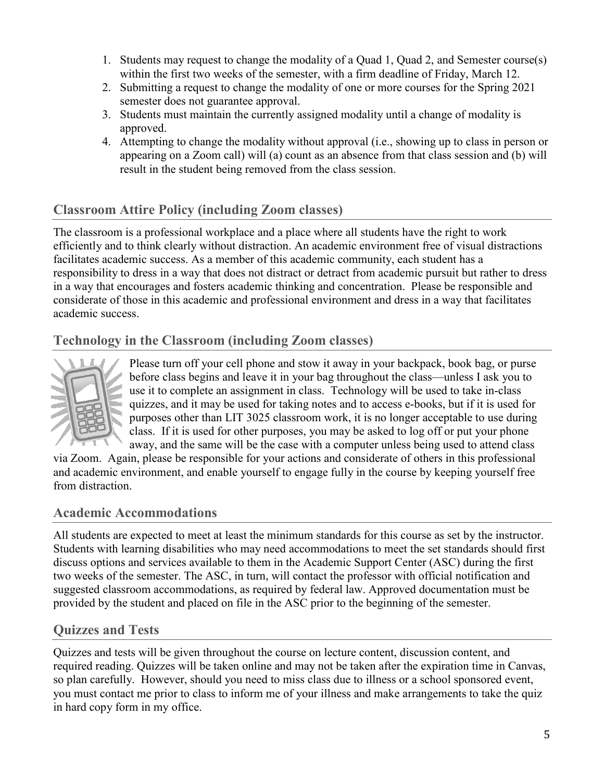- 1. Students may request to change the modality of a Quad 1, Quad 2, and Semester course(s) within the first two weeks of the semester, with a firm deadline of Friday, March 12.
- 2. Submitting a request to change the modality of one or more courses for the Spring 2021 semester does not guarantee approval.
- 3. Students must maintain the currently assigned modality until a change of modality is approved.
- 4. Attempting to change the modality without approval (i.e., showing up to class in person or appearing on a Zoom call) will (a) count as an absence from that class session and (b) will result in the student being removed from the class session.

## **Classroom Attire Policy (including Zoom classes)**

The classroom is a professional workplace and a place where all students have the right to work efficiently and to think clearly without distraction. An academic environment free of visual distractions facilitates academic success. As a member of this academic community, each student has a responsibility to dress in a way that does not distract or detract from academic pursuit but rather to dress in a way that encourages and fosters academic thinking and concentration. Please be responsible and considerate of those in this academic and professional environment and dress in a way that facilitates academic success.

## **Technology in the Classroom (including Zoom classes)**



Please turn off your cell phone and stow it away in your backpack, book bag, or purse before class begins and leave it in your bag throughout the class—unless I ask you to use it to complete an assignment in class. Technology will be used to take in-class quizzes, and it may be used for taking notes and to access e-books, but if it is used for purposes other than LIT 3025 classroom work, it is no longer acceptable to use during class. If it is used for other purposes, you may be asked to log off or put your phone away, and the same will be the case with a computer unless being used to attend class

via Zoom. Again, please be responsible for your actions and considerate of others in this professional and academic environment, and enable yourself to engage fully in the course by keeping yourself free from distraction.

## **Academic Accommodations**

All students are expected to meet at least the minimum standards for this course as set by the instructor. Students with learning disabilities who may need accommodations to meet the set standards should first discuss options and services available to them in the Academic Support Center (ASC) during the first two weeks of the semester. The ASC, in turn, will contact the professor with official notification and suggested classroom accommodations, as required by federal law. Approved documentation must be provided by the student and placed on file in the ASC prior to the beginning of the semester.

## **Quizzes and Tests**

Quizzes and tests will be given throughout the course on lecture content, discussion content, and required reading. Quizzes will be taken online and may not be taken after the expiration time in Canvas, so plan carefully. However, should you need to miss class due to illness or a school sponsored event, you must contact me prior to class to inform me of your illness and make arrangements to take the quiz in hard copy form in my office.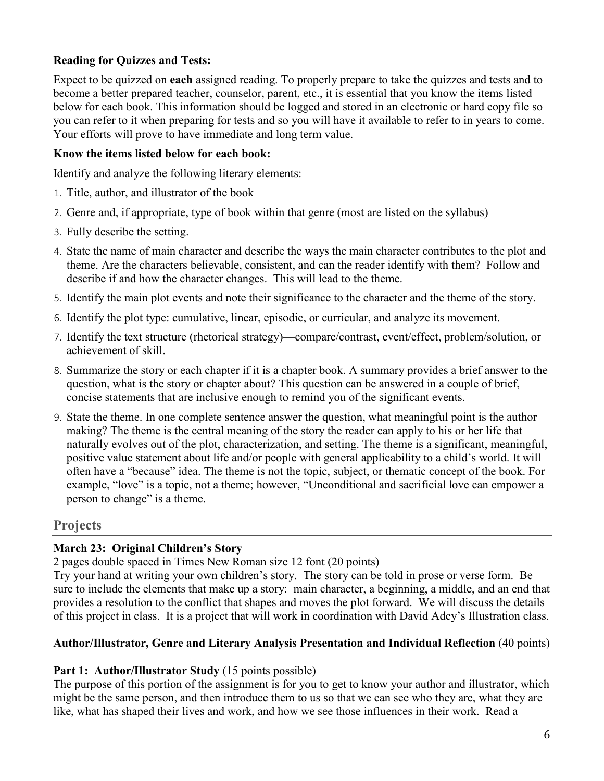### **Reading for Quizzes and Tests:**

Expect to be quizzed on **each** assigned reading. To properly prepare to take the quizzes and tests and to become a better prepared teacher, counselor, parent, etc., it is essential that you know the items listed below for each book. This information should be logged and stored in an electronic or hard copy file so you can refer to it when preparing for tests and so you will have it available to refer to in years to come. Your efforts will prove to have immediate and long term value.

#### **Know the items listed below for each book:**

Identify and analyze the following literary elements:

- 1. Title, author, and illustrator of the book
- 2. Genre and, if appropriate, type of book within that genre (most are listed on the syllabus)
- 3. Fully describe the setting.
- 4. State the name of main character and describe the ways the main character contributes to the plot and theme. Are the characters believable, consistent, and can the reader identify with them? Follow and describe if and how the character changes. This will lead to the theme.
- 5. Identify the main plot events and note their significance to the character and the theme of the story.
- 6. Identify the plot type: cumulative, linear, episodic, or curricular, and analyze its movement.
- 7. Identify the text structure (rhetorical strategy)—compare/contrast, event/effect, problem/solution, or achievement of skill.
- 8. Summarize the story or each chapter if it is a chapter book. A summary provides a brief answer to the question, what is the story or chapter about? This question can be answered in a couple of brief, concise statements that are inclusive enough to remind you of the significant events.
- 9. State the theme. In one complete sentence answer the question, what meaningful point is the author making? The theme is the central meaning of the story the reader can apply to his or her life that naturally evolves out of the plot, characterization, and setting. The theme is a significant, meaningful, positive value statement about life and/or people with general applicability to a child's world. It will often have a "because" idea. The theme is not the topic, subject, or thematic concept of the book. For example, "love" is a topic, not a theme; however, "Unconditional and sacrificial love can empower a person to change" is a theme.

### **Projects**

### **March 23: Original Children's Story**

2 pages double spaced in Times New Roman size 12 font (20 points)

Try your hand at writing your own children's story. The story can be told in prose or verse form. Be sure to include the elements that make up a story: main character, a beginning, a middle, and an end that provides a resolution to the conflict that shapes and moves the plot forward. We will discuss the details of this project in class. It is a project that will work in coordination with David Adey's Illustration class.

### **Author/Illustrator, Genre and Literary Analysis Presentation and Individual Reflection** (40 points)

#### **Part 1: Author/Illustrator Study** (15 points possible)

The purpose of this portion of the assignment is for you to get to know your author and illustrator, which might be the same person, and then introduce them to us so that we can see who they are, what they are like, what has shaped their lives and work, and how we see those influences in their work. Read a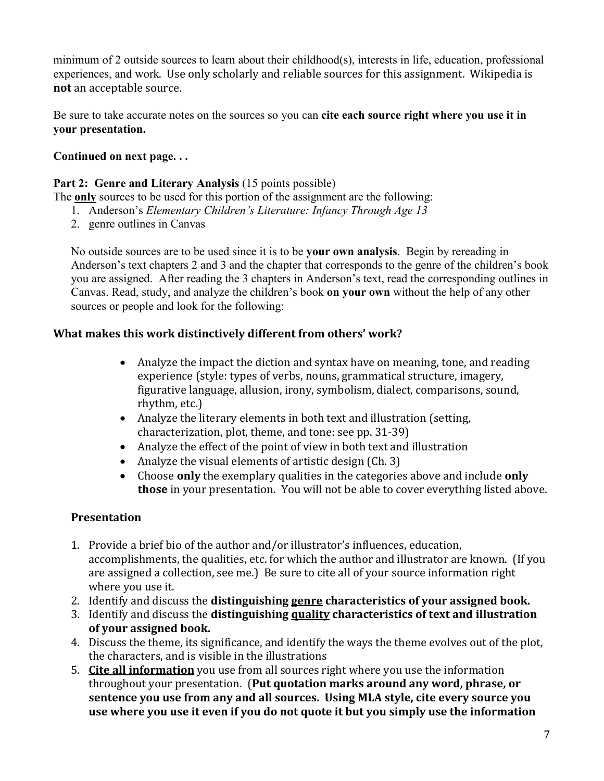minimum of 2 outside sources to learn about their childhood(s), interests in life, education, professional experiences, and work. Use only scholarly and reliable sources for this assignment. Wikipedia is **not** an acceptable source.

Be sure to take accurate notes on the sources so you can **cite each source right where you use it in your presentation.**

## **Continued on next page. . .**

### Part 2: Genre and Literary Analysis (15 points possible)

The **only** sources to be used for this portion of the assignment are the following:

- 1. Anderson's *Elementary Children's Literature: Infancy Through Age 13*
- 2. genre outlines in Canvas

No outside sources are to be used since it is to be **your own analysis**. Begin by rereading in Anderson's text chapters 2 and 3 and the chapter that corresponds to the genre of the children's book you are assigned. After reading the 3 chapters in Anderson's text, read the corresponding outlines in Canvas. Read, study, and analyze the children's book **on your own** without the help of any other sources or people and look for the following:

### **What makes this work distinctively different from others' work?**

- Analyze the impact the diction and syntax have on meaning, tone, and reading experience (style: types of verbs, nouns, grammatical structure, imagery, figurative language, allusion, irony, symbolism, dialect, comparisons, sound, rhythm, etc.)
- Analyze the literary elements in both text and illustration (setting, characterization, plot, theme, and tone: see pp. 31-39)
- Analyze the effect of the point of view in both text and illustration
- Analyze the visual elements of artistic design (Ch. 3)
- Choose **only** the exemplary qualities in the categories above and include **only those** in your presentation. You will not be able to cover everything listed above.

### **Presentation**

- 1. Provide a brief bio of the author and/or illustrator's influences, education, accomplishments, the qualities, etc. for which the author and illustrator are known. (If you are assigned a collection, see me.) Be sure to cite all of your source information right where you use it.
- 2. Identify and discuss the **distinguishing genre characteristics of your assigned book.**
- 3. Identify and discuss the **distinguishing quality characteristics of text and illustration of your assigned book.**
- 4. Discuss the theme, its significance, and identify the ways the theme evolves out of the plot, the characters, and is visible in the illustrations
- 5. **Cite all information** you use from all sources right where you use the information throughout your presentation. (**Put quotation marks around any word, phrase, or sentence you use from any and all sources. Using MLA style, cite every source you use where you use it even if you do not quote it but you simply use the information**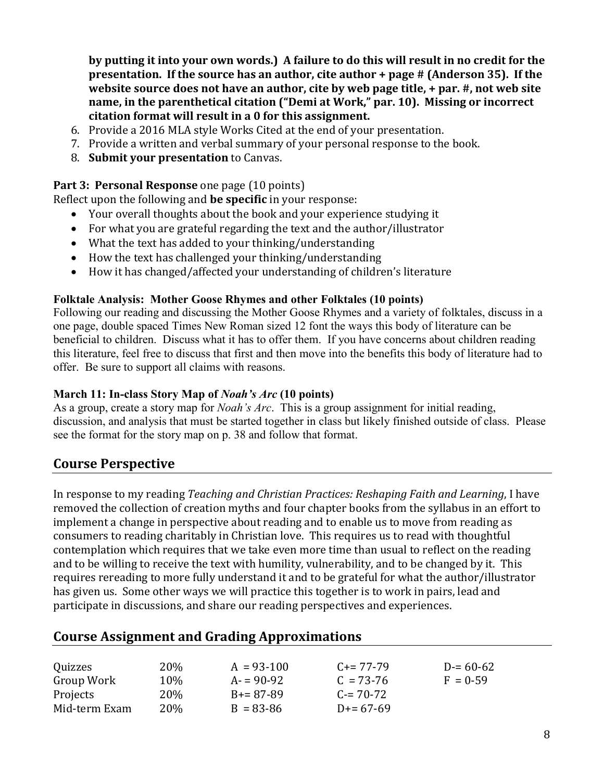**by putting it into your own words.) A failure to do this will result in no credit for the presentation. If the source has an author, cite author + page # (Anderson 35). If the website source does not have an author, cite by web page title, + par. #, not web site name, in the parenthetical citation ("Demi at Work," par. 10). Missing or incorrect citation format will result in a 0 for this assignment.**

- 6. Provide a 2016 MLA style Works Cited at the end of your presentation.
- 7. Provide a written and verbal summary of your personal response to the book.
- 8. **Submit your presentation** to Canvas.

### **Part 3: Personal Response** one page (10 points)

Reflect upon the following and **be specific** in your response:

- Your overall thoughts about the book and your experience studying it
- For what you are grateful regarding the text and the author/illustrator
- What the text has added to your thinking/understanding
- How the text has challenged your thinking/understanding
- How it has changed/affected your understanding of children's literature

### **Folktale Analysis: Mother Goose Rhymes and other Folktales (10 points)**

Following our reading and discussing the Mother Goose Rhymes and a variety of folktales, discuss in a one page, double spaced Times New Roman sized 12 font the ways this body of literature can be beneficial to children. Discuss what it has to offer them. If you have concerns about children reading this literature, feel free to discuss that first and then move into the benefits this body of literature had to offer. Be sure to support all claims with reasons.

### **March 11: In-class Story Map of** *Noah's Arc* **(10 points)**

As a group, create a story map for *Noah's Arc*. This is a group assignment for initial reading, discussion, and analysis that must be started together in class but likely finished outside of class. Please see the format for the story map on p. 38 and follow that format.

## **Course Perspective**

In response to my reading *Teaching and Christian Practices: Reshaping Faith and Learning*, I have removed the collection of creation myths and four chapter books from the syllabus in an effort to implement a change in perspective about reading and to enable us to move from reading as consumers to reading charitably in Christian love. This requires us to read with thoughtful contemplation which requires that we take even more time than usual to reflect on the reading and to be willing to receive the text with humility, vulnerability, and to be changed by it. This requires rereading to more fully understand it and to be grateful for what the author/illustrator has given us. Some other ways we will practice this together is to work in pairs, lead and participate in discussions, and share our reading perspectives and experiences.

## **Course Assignment and Grading Approximations**

| Quizzes       | 20%  | $A = 93-100$  | $C_{\pm} = 77 - 79$ | $D = 60 - 62$ |
|---------------|------|---------------|---------------------|---------------|
| Group Work    | 10%  | $A = 90-92$   | $C = 73-76$         | $F = 0.59$    |
| Projects      | 20\% | $B+=87-89$    | $C = 70-72$         |               |
| Mid-term Exam | 20%  | $B = 83 - 86$ | $D = 67-69$         |               |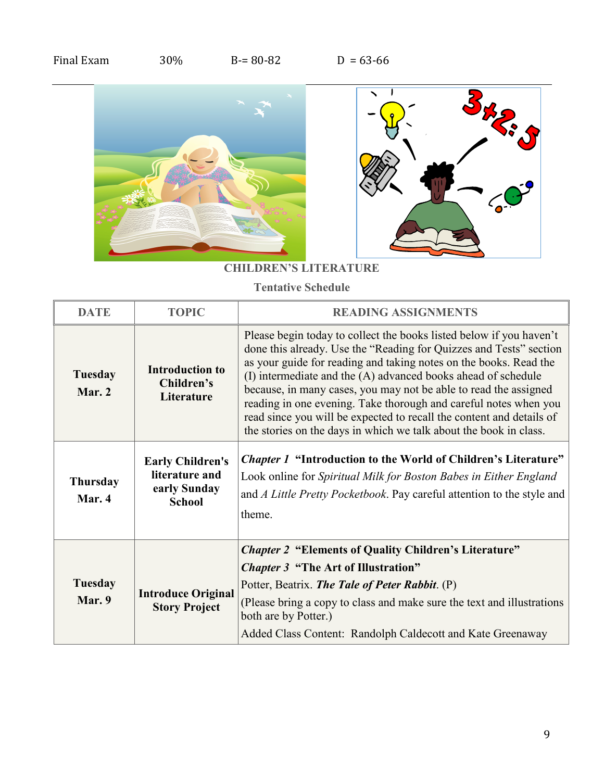| Final Exam | 30% | $B = 80 - 82$ | $D = 63-66$ |
|------------|-----|---------------|-------------|
|------------|-----|---------------|-------------|



## **CHILDREN'S LITERATURE**

**Tentative Schedule**

| <b>DATE</b>               | <b>TOPIC</b>                                                               | <b>READING ASSIGNMENTS</b>                                                                                                                                                                                                                                                                                                                                                                                                                                                                                                                                           |
|---------------------------|----------------------------------------------------------------------------|----------------------------------------------------------------------------------------------------------------------------------------------------------------------------------------------------------------------------------------------------------------------------------------------------------------------------------------------------------------------------------------------------------------------------------------------------------------------------------------------------------------------------------------------------------------------|
| <b>Tuesday</b><br>Mar. 2  | <b>Introduction to</b><br>Children's<br>Literature                         | Please begin today to collect the books listed below if you haven't<br>done this already. Use the "Reading for Quizzes and Tests" section<br>as your guide for reading and taking notes on the books. Read the<br>(I) intermediate and the (A) advanced books ahead of schedule<br>because, in many cases, you may not be able to read the assigned<br>reading in one evening. Take thorough and careful notes when you<br>read since you will be expected to recall the content and details of<br>the stories on the days in which we talk about the book in class. |
| <b>Thursday</b><br>Mar. 4 | <b>Early Children's</b><br>literature and<br>early Sunday<br><b>School</b> | <i>Chapter 1</i> "Introduction to the World of Children's Literature"<br>Look online for Spiritual Milk for Boston Babes in Either England<br>and A Little Pretty Pocketbook. Pay careful attention to the style and<br>theme.                                                                                                                                                                                                                                                                                                                                       |
|                           |                                                                            | <b>Chapter 2 "Elements of Quality Children's Literature"</b>                                                                                                                                                                                                                                                                                                                                                                                                                                                                                                         |
| Tuesday<br>Mar. 9         | <b>Introduce Original</b><br><b>Story Project</b>                          | <i>Chapter 3</i> "The Art of Illustration"<br>Potter, Beatrix. The Tale of Peter Rabbit. (P)<br>(Please bring a copy to class and make sure the text and illustrations<br>both are by Potter.)<br>Added Class Content: Randolph Caldecott and Kate Greenaway                                                                                                                                                                                                                                                                                                         |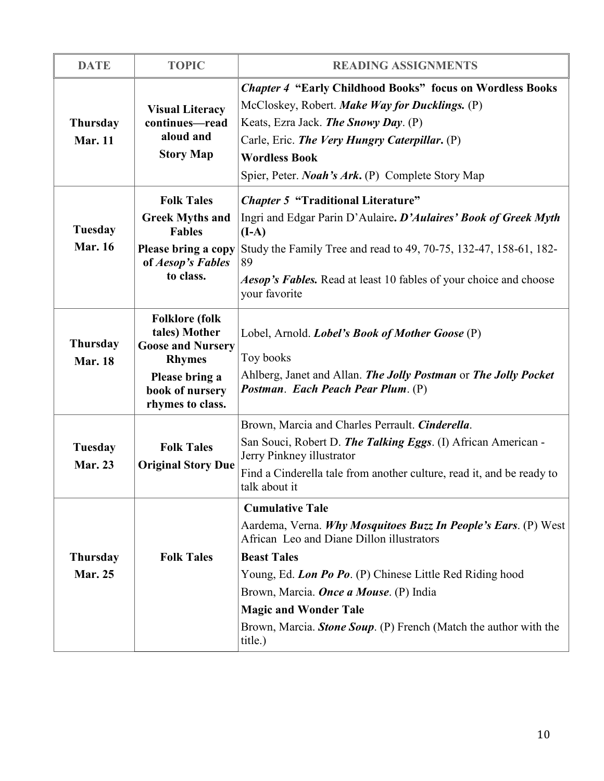| <b>DATE</b>                       | <b>TOPIC</b>                                                                                                                                 | <b>READING ASSIGNMENTS</b>                                                                                                                                                                                                                                                                                                                                                               |
|-----------------------------------|----------------------------------------------------------------------------------------------------------------------------------------------|------------------------------------------------------------------------------------------------------------------------------------------------------------------------------------------------------------------------------------------------------------------------------------------------------------------------------------------------------------------------------------------|
| <b>Thursday</b><br><b>Mar. 11</b> | <b>Visual Literacy</b><br>continues-read<br>aloud and<br><b>Story Map</b>                                                                    | <b>Chapter 4 "Early Childhood Books" focus on Wordless Books</b><br>McCloskey, Robert. Make Way for Ducklings. (P)<br>Keats, Ezra Jack. The Snowy Day. (P)<br>Carle, Eric. The Very Hungry Caterpillar. (P)<br><b>Wordless Book</b><br>Spier, Peter. <i>Noah's Ark</i> . (P) Complete Story Map                                                                                          |
| <b>Tuesday</b><br><b>Mar. 16</b>  | <b>Folk Tales</b><br><b>Greek Myths and</b><br><b>Fables</b><br>Please bring a copy<br>of Aesop's Fables<br>to class.                        | <b>Chapter 5 "Traditional Literature"</b><br>Ingri and Edgar Parin D'Aulaire. D'Aulaires' Book of Greek Myth<br>$(I-A)$<br>Study the Family Tree and read to 49, 70-75, 132-47, 158-61, 182-<br>89<br>Aesop's Fables. Read at least 10 fables of your choice and choose<br>your favorite                                                                                                 |
| <b>Thursday</b><br><b>Mar. 18</b> | <b>Folklore</b> (folk<br>tales) Mother<br><b>Goose and Nursery</b><br><b>Rhymes</b><br>Please bring a<br>book of nursery<br>rhymes to class. | Lobel, Arnold. <i>Lobel's Book of Mother Goose</i> (P)<br>Toy books<br>Ahlberg, Janet and Allan. The Jolly Postman or The Jolly Pocket<br>Postman. Each Peach Pear Plum. (P)                                                                                                                                                                                                             |
| <b>Tuesday</b><br><b>Mar. 23</b>  | <b>Folk Tales</b><br><b>Original Story Due</b>                                                                                               | Brown, Marcia and Charles Perrault. Cinderella.<br>San Souci, Robert D. The Talking Eggs. (I) African American -<br>Jerry Pinkney illustrator<br>Find a Cinderella tale from another culture, read it, and be ready to<br>talk about it                                                                                                                                                  |
| <b>Thursday</b><br><b>Mar. 25</b> | <b>Folk Tales</b>                                                                                                                            | <b>Cumulative Tale</b><br>Aardema, Verna. Why Mosquitoes Buzz In People's Ears. (P) West<br>African Leo and Diane Dillon illustrators<br><b>Beast Tales</b><br>Young, Ed. Lon Po Po. (P) Chinese Little Red Riding hood<br>Brown, Marcia. <i>Once a Mouse</i> . (P) India<br><b>Magic and Wonder Tale</b><br>Brown, Marcia. Stone Soup. (P) French (Match the author with the<br>title.) |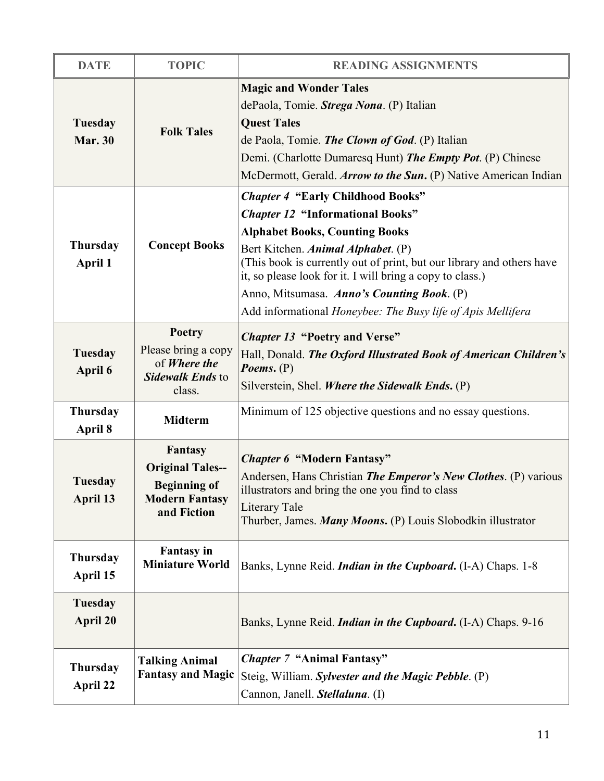| <b>DATE</b>                       | <b>TOPIC</b>                                                                                      | <b>READING ASSIGNMENTS</b>                                                                                                                                                                                                                                                                                                                                                                                            |
|-----------------------------------|---------------------------------------------------------------------------------------------------|-----------------------------------------------------------------------------------------------------------------------------------------------------------------------------------------------------------------------------------------------------------------------------------------------------------------------------------------------------------------------------------------------------------------------|
| <b>Tuesday</b><br><b>Mar. 30</b>  | <b>Folk Tales</b>                                                                                 | <b>Magic and Wonder Tales</b><br>dePaola, Tomie. Strega Nona. (P) Italian<br><b>Quest Tales</b><br>de Paola, Tomie. <i>The Clown of God</i> . (P) Italian<br>Demi. (Charlotte Dumaresq Hunt) The Empty Pot. (P) Chinese<br>McDermott, Gerald. Arrow to the Sun. (P) Native American Indian                                                                                                                            |
| <b>Thursday</b><br>April 1        | <b>Concept Books</b>                                                                              | <b>Chapter 4 "Early Childhood Books"</b><br><b>Chapter 12 "Informational Books"</b><br><b>Alphabet Books, Counting Books</b><br>Bert Kitchen. Animal Alphabet. (P)<br>(This book is currently out of print, but our library and others have<br>it, so please look for it. I will bring a copy to class.)<br>Anno, Mitsumasa. Anno's Counting Book. (P)<br>Add informational Honeybee: The Busy life of Apis Mellifera |
| <b>Tuesday</b><br>April 6         | <b>Poetry</b><br>Please bring a copy<br>of Where the<br><b>Sidewalk Ends to</b><br>class.         | <b>Chapter 13 "Poetry and Verse"</b><br>Hall, Donald. The Oxford Illustrated Book of American Children's<br><i>Poems.</i> $(P)$<br>Silverstein, Shel. Where the Sidewalk Ends. (P)                                                                                                                                                                                                                                    |
| <b>Thursday</b><br>April 8        | <b>Midterm</b>                                                                                    | Minimum of 125 objective questions and no essay questions.                                                                                                                                                                                                                                                                                                                                                            |
| Tuesday<br>April 13               | Fantasy<br><b>Original Tales--</b><br><b>Beginning of</b><br><b>Modern Fantasy</b><br>and Fiction | <b>Chapter 6 "Modern Fantasy"</b><br>Andersen, Hans Christian The Emperor's New Clothes. (P) various<br>illustrators and bring the one you find to class<br>Literary Tale<br>Thurber, James. Many Moons. (P) Louis Slobodkin illustrator                                                                                                                                                                              |
| <b>Thursday</b><br>April 15       | <b>Fantasy</b> in<br><b>Miniature World</b>                                                       | Banks, Lynne Reid. <i>Indian in the Cupboard</i> . (I-A) Chaps. 1-8                                                                                                                                                                                                                                                                                                                                                   |
| <b>Tuesday</b><br><b>April 20</b> |                                                                                                   | Banks, Lynne Reid. <i>Indian in the Cupboard</i> . (I-A) Chaps. 9-16                                                                                                                                                                                                                                                                                                                                                  |
| <b>Thursday</b><br>April 22       | <b>Talking Animal</b><br><b>Fantasy and Magic</b>                                                 | <b>Chapter 7 "Animal Fantasy"</b><br>Steig, William. Sylvester and the Magic Pebble. (P)<br>Cannon, Janell. Stellaluna. (I)                                                                                                                                                                                                                                                                                           |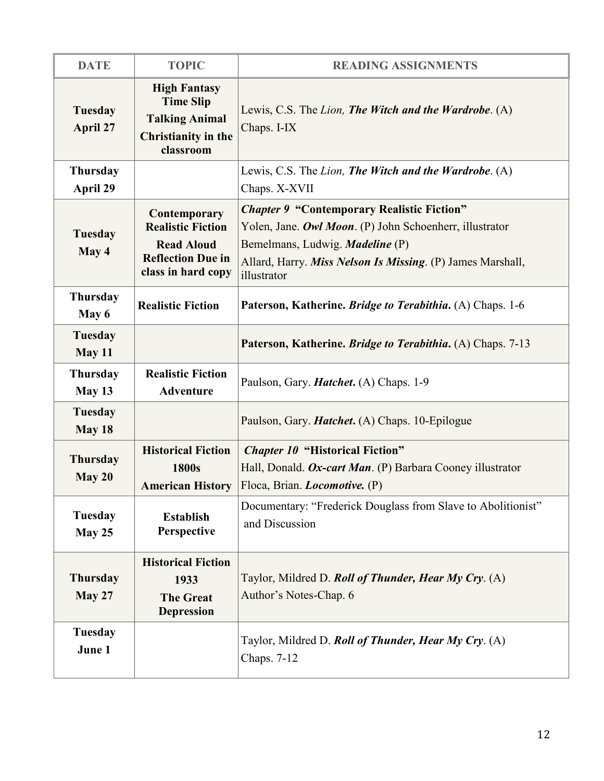| <b>DATE</b>                 | <b>TOPIC</b>                                                                                                    | <b>READING ASSIGNMENTS</b>                                                                                                                                                                                                          |
|-----------------------------|-----------------------------------------------------------------------------------------------------------------|-------------------------------------------------------------------------------------------------------------------------------------------------------------------------------------------------------------------------------------|
| Tuesday<br>April 27         | <b>High Fantasy</b><br><b>Time Slip</b><br><b>Talking Animal</b><br>Christianity in the<br>classroom            | Lewis, C.S. The Lion, The Witch and the Wardrobe. (A)<br>Chaps. I-IX                                                                                                                                                                |
| <b>Thursday</b><br>April 29 |                                                                                                                 | Lewis, C.S. The Lion, The Witch and the Wardrobe. (A)<br>Chaps. X-XVII                                                                                                                                                              |
| Tuesday<br>May 4            | Contemporary<br><b>Realistic Fiction</b><br><b>Read Aloud</b><br><b>Reflection Due in</b><br>class in hard copy | <b>Chapter 9 "Contemporary Realistic Fiction"</b><br>Yolen, Jane. Owl Moon. (P) John Schoenherr, illustrator<br>Bemelmans, Ludwig. <i>Madeline</i> (P)<br>Allard, Harry. Miss Nelson Is Missing. (P) James Marshall,<br>illustrator |
| <b>Thursday</b><br>May 6    | <b>Realistic Fiction</b>                                                                                        | Paterson, Katherine. Bridge to Terabithia. (A) Chaps. 1-6                                                                                                                                                                           |
| Tuesday<br>May 11           |                                                                                                                 | Paterson, Katherine. <i>Bridge to Terabithia</i> . (A) Chaps. 7-13                                                                                                                                                                  |
| <b>Thursday</b><br>May 13   | <b>Realistic Fiction</b><br><b>Adventure</b>                                                                    | Paulson, Gary. <i>Hatchet</i> . (A) Chaps. 1-9                                                                                                                                                                                      |
| Tuesday<br>May 18           |                                                                                                                 | Paulson, Gary. <i>Hatchet</i> . (A) Chaps. 10-Epilogue                                                                                                                                                                              |
| <b>Thursday</b><br>May 20   | <b>Historical Fiction</b><br>1800s<br><b>American History</b>                                                   | <b>Chapter 10 "Historical Fiction"</b><br>Hall, Donald. Ox-cart Man. (P) Barbara Cooney illustrator<br>Floca, Brian. <i>Locomotive.</i> (P)                                                                                         |
| Tuesday<br>May 25           | <b>Establish</b><br>Perspective                                                                                 | Documentary: "Frederick Douglass from Slave to Abolitionist"<br>and Discussion                                                                                                                                                      |
| <b>Thursday</b><br>May 27   | <b>Historical Fiction</b><br>1933<br><b>The Great</b><br><b>Depression</b>                                      | Taylor, Mildred D. Roll of Thunder, Hear My Cry. (A)<br>Author's Notes-Chap. 6                                                                                                                                                      |
| Tuesday<br>June 1           |                                                                                                                 | Taylor, Mildred D. Roll of Thunder, Hear My Cry. (A)<br>Chaps. 7-12                                                                                                                                                                 |